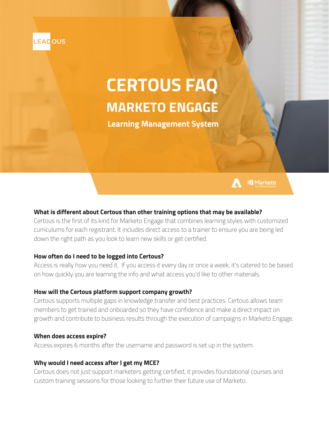

# **CERTOUS FAQ MARKETO ENGAGE**

**Learning Management System**



# **What is different about Certous than other training options that may be available?**

Certous is the first of its kind for Marketo Engage that combines learning styles with customized curriculums for each registrant. It includes direct access to a trainer to ensure you are being led down the right path as you look to learn new skills or get certified.

# **How often do I need to be logged into Certous?**

Access is really how you need it. If you access it every day or once a week, it's catered to be based on how quickly you are learning the info and what access you'd like to other materials.

# **How will the Certous platform support company growth?**

Certous supports multiple gaps in knowledge transfer and best practices. Certous allows team members to get trained and onboarded so they have confidence and make a direct impact on growth and contribute to business results through the execution of campaigns in Marketo Engage.

# **When does access expire?**

Access expires 6 months after the username and password is set up in the system.

# **Why would I need access after I get my MCE?**

Certous does not just support marketers getting certified, it provides foundational courses and custom training sessions for those looking to further their future use of Marketo.